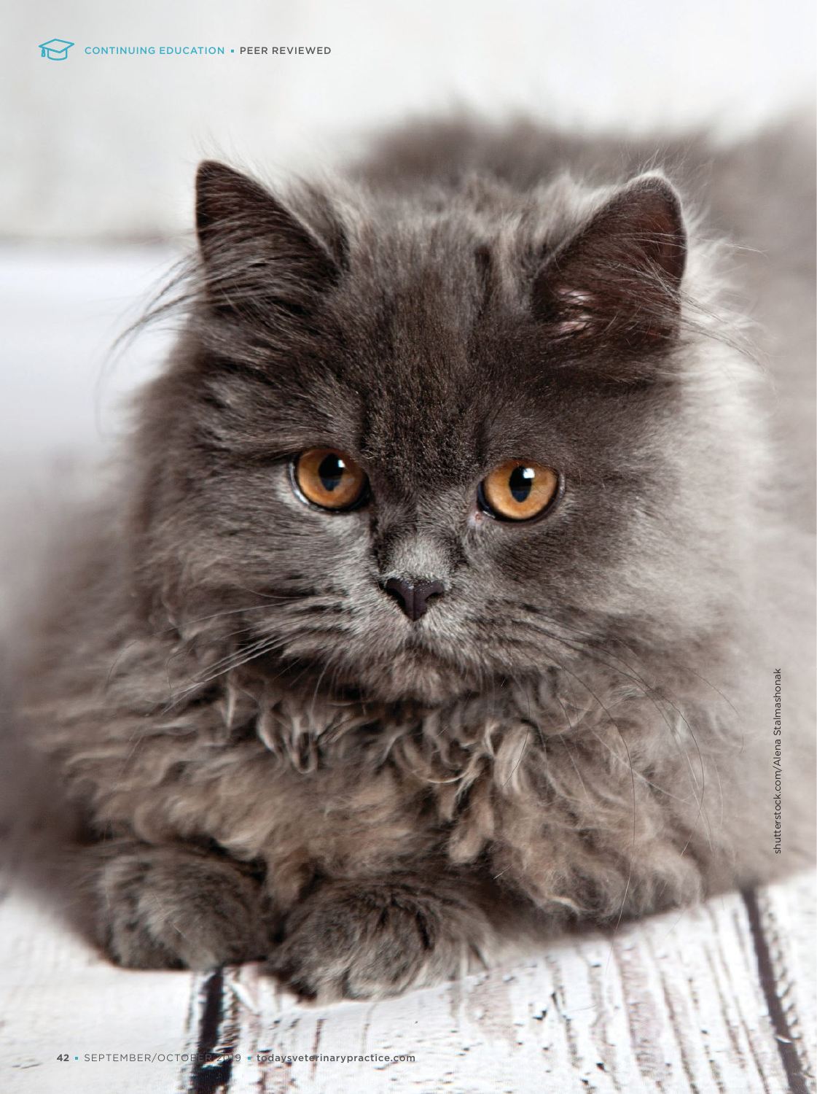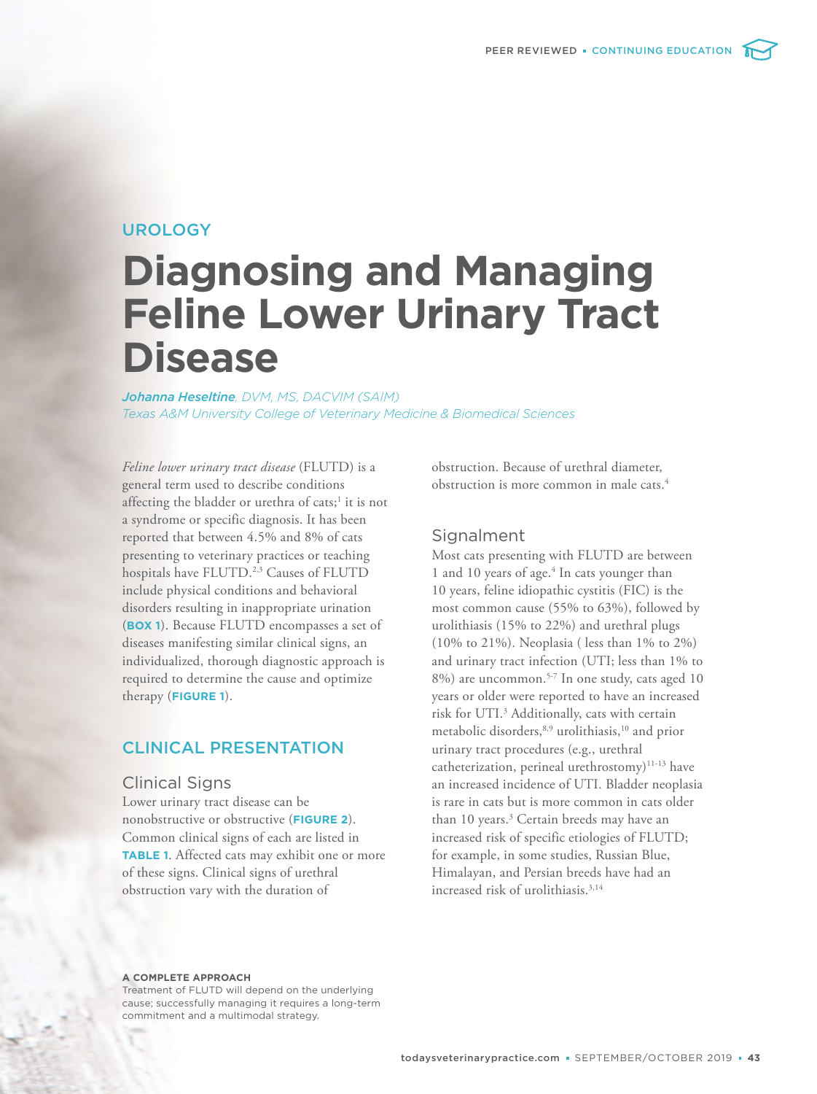## UROLOGY

# **Diagnosing and Managing Feline Lower Urinary Tract Disease**

*Johanna Heseltine, DVM, MS, DACVIM (SAIM) Texas A&M University College of Veterinary Medicine & Biomedical Sciences*

*Feline lower urinary tract disease* (FLUTD) is a general term used to describe conditions affecting the bladder or urethra of cats;<sup>1</sup> it is not a syndrome or specific diagnosis. It has been reported that between 4.5% and 8% of cats presenting to veterinary practices or teaching hospitals have FLUTD.<sup>2,3</sup> Causes of FLUTD include physical conditions and behavioral disorders resulting in inappropriate urination (**BOX 1**). Because FLUTD encompasses a set of diseases manifesting similar clinical signs, an individualized, thorough diagnostic approach is required to determine the cause and optimize therapy (**FIGURE 1**).

## CLINICAL PRESENTATION

#### Clinical Signs

Lower urinary tract disease can be nonobstructive or obstructive (**FIGURE 2**). Common clinical signs of each are listed in **TABLE 1**. Affected cats may exhibit one or more of these signs. Clinical signs of urethral obstruction vary with the duration of

obstruction. Because of urethral diameter, obstruction is more common in male cats.<sup>4</sup>

## Signalment

Most cats presenting with FLUTD are between 1 and 10 years of age.<sup>4</sup> In cats younger than 10 years, feline idiopathic cystitis (FIC) is the most common cause (55% to 63%), followed by urolithiasis (15% to 22%) and urethral plugs (10% to 21%). Neoplasia ( less than 1% to 2%) and urinary tract infection (UTI; less than 1% to 8%) are uncommon.<sup>5-7</sup> In one study, cats aged 10 years or older were reported to have an increased risk for UTI.<sup>3</sup> Additionally, cats with certain metabolic disorders,8,9 urolithiasis,<sup>10</sup> and prior urinary tract procedures (e.g., urethral catheterization, perineal urethrostomy)<sup>11-13</sup> have an increased incidence of UTI. Bladder neoplasia is rare in cats but is more common in cats older than 10 years.<sup>3</sup> Certain breeds may have an increased risk of specific etiologies of FLUTD; for example, in some studies, Russian Blue, Himalayan, and Persian breeds have had an increased risk of urolithiasis.<sup>3,14</sup>

#### **A COMPLETE APPROACH**

Treatment of FLUTD will depend on the underlying cause; successfully managing it requires a long-term commitment and a multimodal strategy.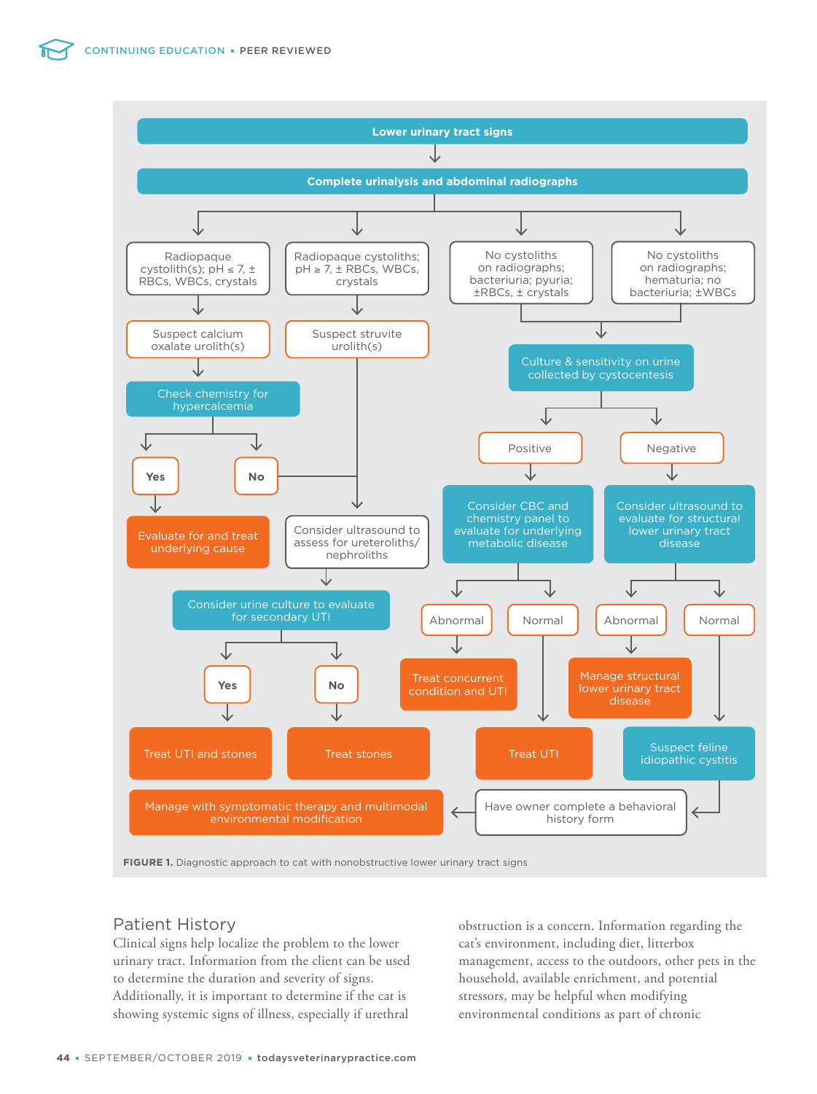

**FIGURE 1.** Diagnostic approach to cat with nonobstructive lower urinary tract signs

## Patient History

Clinical signs help localize the problem to the lower urinary tract. Information from the client can be used to determine the duration and severity of signs. Additionally, it is important to determine if the cat is showing systemic signs of illness, especially if urethral obstruction is a concern. Information regarding the cat's environment, including diet, litterbox management, access to the outdoors, other pets in the household, available enrichment, and potential stressors, may be helpful when modifying environmental conditions as part of chronic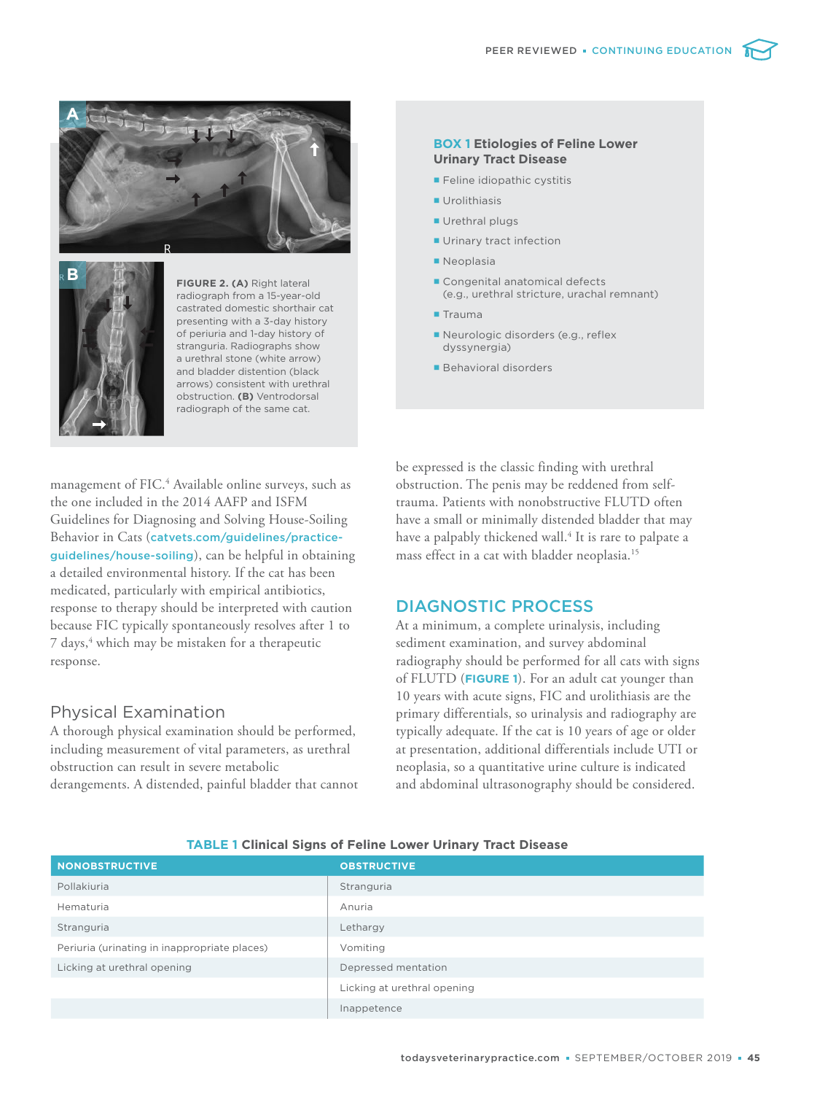

**B**

**FIGURE 2. (A)** Right lateral radiograph from a 15-year-old castrated domestic shorthair cat presenting with a 3-day history of periuria and 1-day history of stranguria. Radiographs show a urethral stone (white arrow) and bladder distention (black arrows) consistent with urethral obstruction. **(B)** Ventrodorsal radiograph of the same cat.

management of FIC.<sup>4</sup> Available online surveys, such as the one included in the 2014 AAFP and ISFM Guidelines for Diagnosing and Solving House-Soiling Behavior in Cats (catvets.com/guidelines/practiceguidelines/house-soiling), can be helpful in obtaining a detailed environmental history. If the cat has been medicated, particularly with empirical antibiotics, response to therapy should be interpreted with caution because FIC typically spontaneously resolves after 1 to 7 days,<sup>4</sup> which may be mistaken for a therapeutic response.

## Physical Examination

A thorough physical examination should be performed, including measurement of vital parameters, as urethral obstruction can result in severe metabolic derangements. A distended, painful bladder that cannot

#### **BOX 1 Etiologies of Feline Lower Urinary Tract Disease**

- **Feline idiopathic cystitis**
- **Urolithiasis**
- **Urethral plugs**
- **Urinary tract infection**
- **Neoplasia**
- Congenital anatomical defects (e.g., urethral stricture, urachal remnant)
- **Trauma**
- Neurologic disorders (e.g., reflex dyssynergia)
- **Behavioral disorders**

be expressed is the classic finding with urethral obstruction. The penis may be reddened from selftrauma. Patients with nonobstructive FLUTD often have a small or minimally distended bladder that may have a palpably thickened wall.<sup>4</sup> It is rare to palpate a mass effect in a cat with bladder neoplasia.<sup>15</sup>

## DIAGNOSTIC PROCESS

At a minimum, a complete urinalysis, including sediment examination, and survey abdominal radiography should be performed for all cats with signs of FLUTD (**FIGURE 1**). For an adult cat younger than 10 years with acute signs, FIC and urolithiasis are the primary differentials, so urinalysis and radiography are typically adequate. If the cat is 10 years of age or older at presentation, additional differentials include UTI or neoplasia, so a quantitative urine culture is indicated and abdominal ultrasonography should be considered.

| <b>NONOBSTRUCTIVE</b>                        | <b>OBSTRUCTIVE</b>          |
|----------------------------------------------|-----------------------------|
| Pollakiuria                                  | Stranguria                  |
| Hematuria                                    | Anuria                      |
| Stranguria                                   | Lethargy                    |
| Periuria (urinating in inappropriate places) | Vomiting                    |
| Licking at urethral opening                  | Depressed mentation         |
|                                              | Licking at urethral opening |
|                                              | Inappetence                 |

#### **TABLE 1 Clinical Signs of Feline Lower Urinary Tract Disease**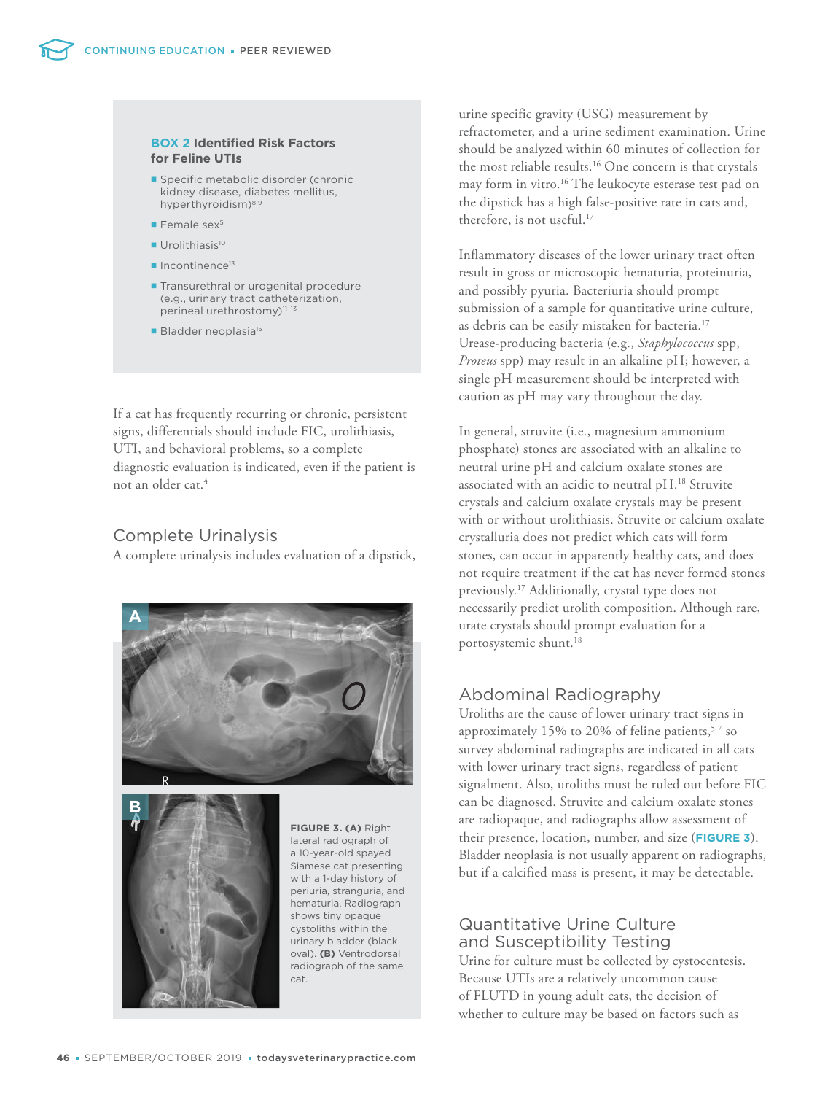#### **BOX 2 Identified Risk Factors for Feline UTIs**

- **Specific metabolic disorder (chronic** kidney disease, diabetes mellitus, hyperthyroidism)<sup>8,9</sup>
- $\blacksquare$  Female sex<sup>5</sup>
- **Urolithiasis<sup>10</sup>**
- $\blacksquare$  Incontinence<sup>13</sup>
- **Transurethral or urogenital procedure** (e.g., urinary tract catheterization, perineal urethrostomy)<sup>11-13</sup>
- **Bladder neoplasia<sup>15</sup>**

If a cat has frequently recurring or chronic, persistent signs, differentials should include FIC, urolithiasis, UTI, and behavioral problems, so a complete diagnostic evaluation is indicated, even if the patient is not an older cat.<sup>4</sup>

## Complete Urinalysis

A complete urinalysis includes evaluation of a dipstick,





**FIGURE 3. (A)** Right lateral radiograph of a 10-year-old spayed Siamese cat presenting with a 1-day history of periuria, stranguria, and hematuria. Radiograph shows tiny opaque cystoliths within the urinary bladder (black oval). **(B)** Ventrodorsal radiograph of the same cat.

urine specific gravity (USG) measurement by refractometer, and a urine sediment examination. Urine should be analyzed within 60 minutes of collection for the most reliable results.<sup>16</sup> One concern is that crystals may form in vitro.<sup>16</sup> The leukocyte esterase test pad on the dipstick has a high false-positive rate in cats and, therefore, is not useful.<sup>17</sup>

Inflammatory diseases of the lower urinary tract often result in gross or microscopic hematuria, proteinuria, and possibly pyuria. Bacteriuria should prompt submission of a sample for quantitative urine culture, as debris can be easily mistaken for bacteria.<sup>17</sup> Urease-producing bacteria (e.g., *Staphylococcus* spp, *Proteus* spp) may result in an alkaline pH; however, a single pH measurement should be interpreted with caution as pH may vary throughout the day.

In general, struvite (i.e., magnesium ammonium phosphate) stones are associated with an alkaline to neutral urine pH and calcium oxalate stones are associated with an acidic to neutral pH.<sup>18</sup> Struvite crystals and calcium oxalate crystals may be present with or without urolithiasis. Struvite or calcium oxalate crystalluria does not predict which cats will form stones, can occur in apparently healthy cats, and does not require treatment if the cat has never formed stones previously.<sup>17</sup> Additionally, crystal type does not necessarily predict urolith composition. Although rare, urate crystals should prompt evaluation for a portosystemic shunt.<sup>18</sup>

## Abdominal Radiography

Uroliths are the cause of lower urinary tract signs in approximately 15% to 20% of feline patients,  $5-7$  so survey abdominal radiographs are indicated in all cats with lower urinary tract signs, regardless of patient signalment. Also, uroliths must be ruled out before FIC can be diagnosed. Struvite and calcium oxalate stones are radiopaque, and radiographs allow assessment of their presence, location, number, and size (**FIGURE 3**). Bladder neoplasia is not usually apparent on radiographs, but if a calcified mass is present, it may be detectable.

## Quantitative Urine Culture and Susceptibility Testing

Urine for culture must be collected by cystocentesis. Because UTIs are a relatively uncommon cause of FLUTD in young adult cats, the decision of whether to culture may be based on factors such as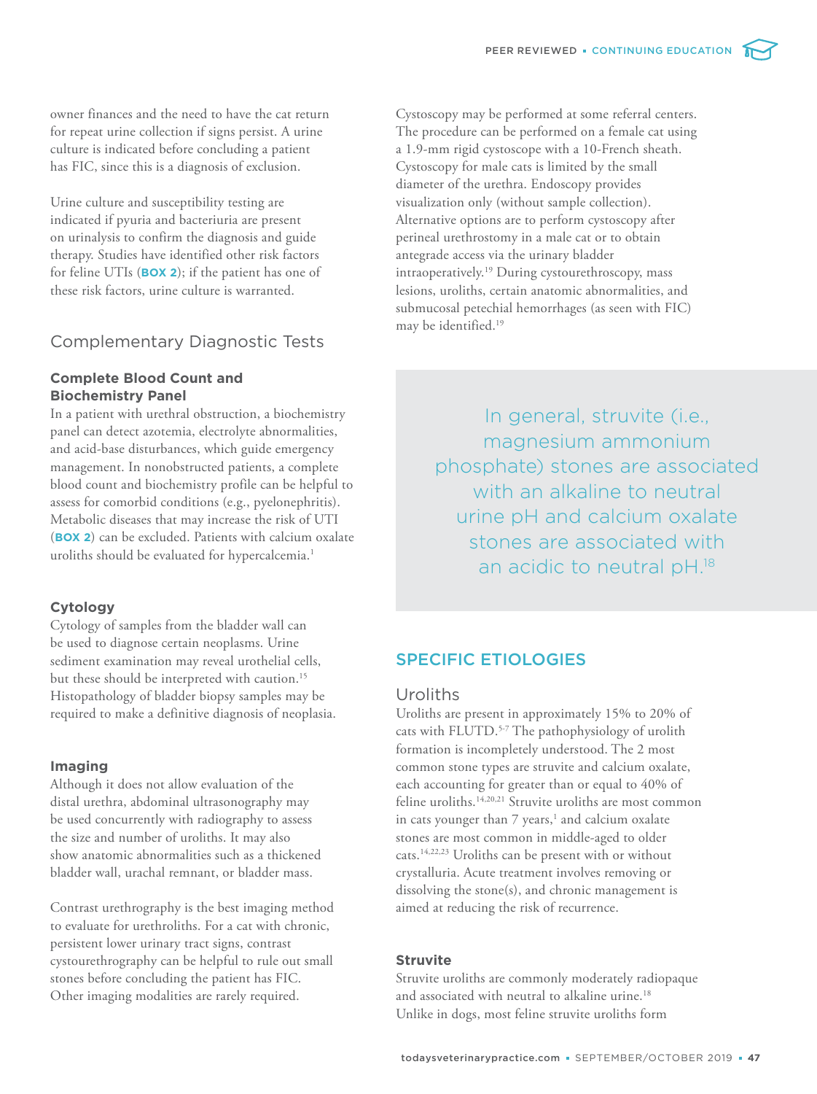owner finances and the need to have the cat return for repeat urine collection if signs persist. A urine culture is indicated before concluding a patient has FIC, since this is a diagnosis of exclusion.

Urine culture and susceptibility testing are indicated if pyuria and bacteriuria are present on urinalysis to confirm the diagnosis and guide therapy. Studies have identified other risk factors for feline UTIs (**BOX 2**); if the patient has one of these risk factors, urine culture is warranted.

## Complementary Diagnostic Tests

## **Complete Blood Count and Biochemistry Panel**

In a patient with urethral obstruction, a biochemistry panel can detect azotemia, electrolyte abnormalities, and acid-base disturbances, which guide emergency management. In nonobstructed patients, a complete blood count and biochemistry profile can be helpful to assess for comorbid conditions (e.g., pyelonephritis). Metabolic diseases that may increase the risk of UTI (**BOX 2**) can be excluded. Patients with calcium oxalate uroliths should be evaluated for hypercalcemia.<sup>1</sup>

## **Cytology**

Cytology of samples from the bladder wall can be used to diagnose certain neoplasms. Urine sediment examination may reveal urothelial cells, but these should be interpreted with caution.<sup>15</sup> Histopathology of bladder biopsy samples may be required to make a definitive diagnosis of neoplasia.

#### **Imaging**

Although it does not allow evaluation of the distal urethra, abdominal ultrasonography may be used concurrently with radiography to assess the size and number of uroliths. It may also show anatomic abnormalities such as a thickened bladder wall, urachal remnant, or bladder mass.

Contrast urethrography is the best imaging method to evaluate for urethroliths. For a cat with chronic, persistent lower urinary tract signs, contrast cystourethrography can be helpful to rule out small stones before concluding the patient has FIC. Other imaging modalities are rarely required.

Cystoscopy may be performed at some referral centers. The procedure can be performed on a female cat using a 1.9-mm rigid cystoscope with a 10-French sheath. Cystoscopy for male cats is limited by the small diameter of the urethra. Endoscopy provides visualization only (without sample collection). Alternative options are to perform cystoscopy after perineal urethrostomy in a male cat or to obtain antegrade access via the urinary bladder intraoperatively.<sup>19</sup> During cystourethroscopy, mass lesions, uroliths, certain anatomic abnormalities, and submucosal petechial hemorrhages (as seen with FIC) may be identified.<sup>19</sup>

> In general, struvite (i.e., magnesium ammonium phosphate) stones are associated with an alkaline to neutral urine pH and calcium oxalate stones are associated with an acidic to neutral pH.18

## SPECIFIC ETIOLOGIES

## Uroliths

Uroliths are present in approximately 15% to 20% of cats with FLUTD.<sup>5-7</sup> The pathophysiology of urolith formation is incompletely understood. The 2 most common stone types are struvite and calcium oxalate, each accounting for greater than or equal to 40% of feline uroliths.<sup>14,20,21</sup> Struvite uroliths are most common in cats younger than 7 years,<sup>1</sup> and calcium oxalate stones are most common in middle-aged to older cats.14,22,23 Uroliths can be present with or without crystalluria. Acute treatment involves removing or dissolving the stone(s), and chronic management is aimed at reducing the risk of recurrence.

#### **Struvite**

Struvite uroliths are commonly moderately radiopaque and associated with neutral to alkaline urine.<sup>18</sup> Unlike in dogs, most feline struvite uroliths form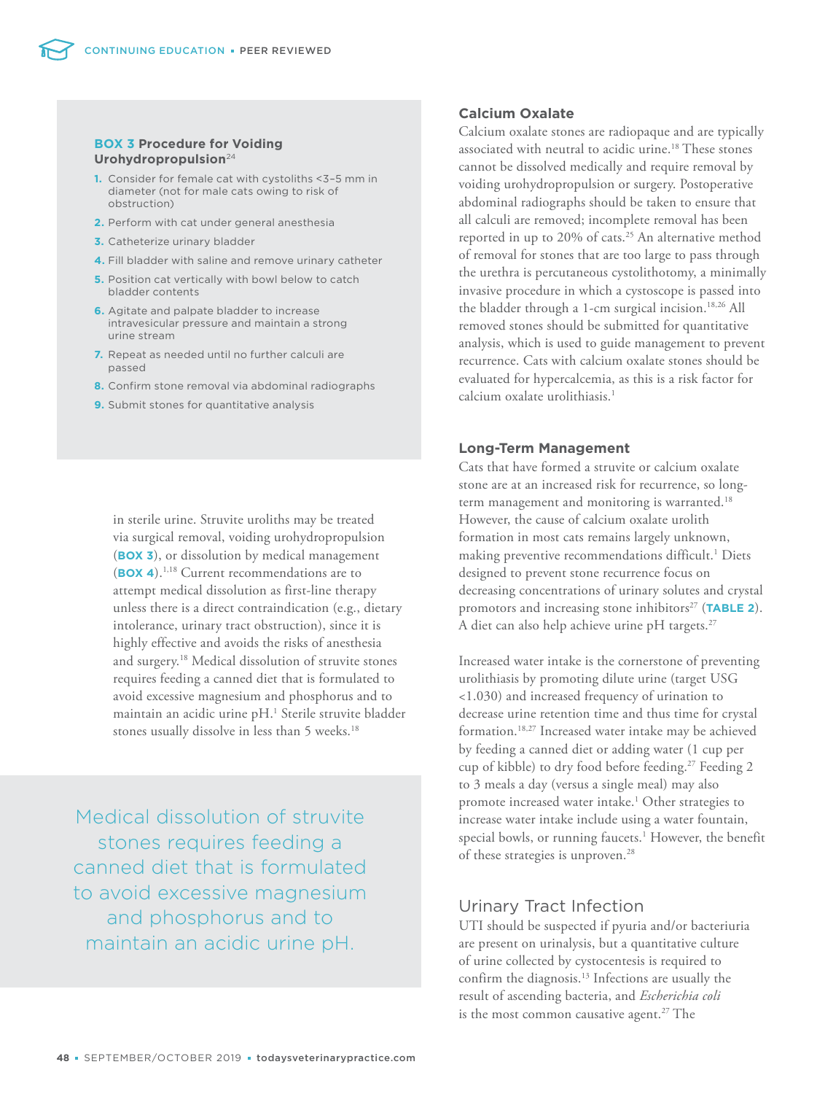#### **BOX 3 Procedure for Voiding Urohydropropulsion**<sup>24</sup>

- **1.** Consider for female cat with cystoliths <3–5 mm in diameter (not for male cats owing to risk of obstruction)
- **2.** Perform with cat under general anesthesia
- **3.** Catheterize urinary bladder
- **4.** Fill bladder with saline and remove urinary catheter
- **5.** Position cat vertically with bowl below to catch bladder contents
- **6.** Agitate and palpate bladder to increase intravesicular pressure and maintain a strong urine stream
- **7.** Repeat as needed until no further calculi are passed
- **8.** Confirm stone removal via abdominal radiographs
- **9.** Submit stones for quantitative analysis

in sterile urine. Struvite uroliths may be treated via surgical removal, voiding urohydropropulsion (**BOX 3**), or dissolution by medical management (**BOX 4**).1,18 Current recommendations are to attempt medical dissolution as first-line therapy unless there is a direct contraindication (e.g., dietary intolerance, urinary tract obstruction), since it is highly effective and avoids the risks of anesthesia and surgery.<sup>18</sup> Medical dissolution of struvite stones requires feeding a canned diet that is formulated to avoid excessive magnesium and phosphorus and to maintain an acidic urine pH.<sup>1</sup> Sterile struvite bladder stones usually dissolve in less than 5 weeks.<sup>18</sup>

Medical dissolution of struvite stones requires feeding a canned diet that is formulated to avoid excessive magnesium and phosphorus and to maintain an acidic urine pH.

#### **Calcium Oxalate**

Calcium oxalate stones are radiopaque and are typically associated with neutral to acidic urine.<sup>18</sup> These stones cannot be dissolved medically and require removal by voiding urohydropropulsion or surgery. Postoperative abdominal radiographs should be taken to ensure that all calculi are removed; incomplete removal has been reported in up to 20% of cats.<sup>25</sup> An alternative method of removal for stones that are too large to pass through the urethra is percutaneous cystolithotomy, a minimally invasive procedure in which a cystoscope is passed into the bladder through a 1-cm surgical incision.<sup>18,26</sup> All removed stones should be submitted for quantitative analysis, which is used to guide management to prevent recurrence. Cats with calcium oxalate stones should be evaluated for hypercalcemia, as this is a risk factor for calcium oxalate urolithiasis.<sup>1</sup>

### **Long-Term Management**

Cats that have formed a struvite or calcium oxalate stone are at an increased risk for recurrence, so longterm management and monitoring is warranted.<sup>18</sup> However, the cause of calcium oxalate urolith formation in most cats remains largely unknown, making preventive recommendations difficult.<sup>1</sup> Diets designed to prevent stone recurrence focus on decreasing concentrations of urinary solutes and crystal promotors and increasing stone inhibitors<sup>27</sup> (TABLE 2). A diet can also help achieve urine pH targets.<sup>27</sup>

Increased water intake is the cornerstone of preventing urolithiasis by promoting dilute urine (target USG <1.030) and increased frequency of urination to decrease urine retention time and thus time for crystal formation.18,27 Increased water intake may be achieved by feeding a canned diet or adding water (1 cup per cup of kibble) to dry food before feeding.<sup>27</sup> Feeding 2 to 3 meals a day (versus a single meal) may also promote increased water intake.<sup>1</sup> Other strategies to increase water intake include using a water fountain, special bowls, or running faucets.<sup>1</sup> However, the benefit of these strategies is unproven.<sup>28</sup>

## Urinary Tract Infection

UTI should be suspected if pyuria and/or bacteriuria are present on urinalysis, but a quantitative culture of urine collected by cystocentesis is required to confirm the diagnosis.<sup>13</sup> Infections are usually the result of ascending bacteria, and *Escherichia coli* is the most common causative agent.<sup>27</sup> The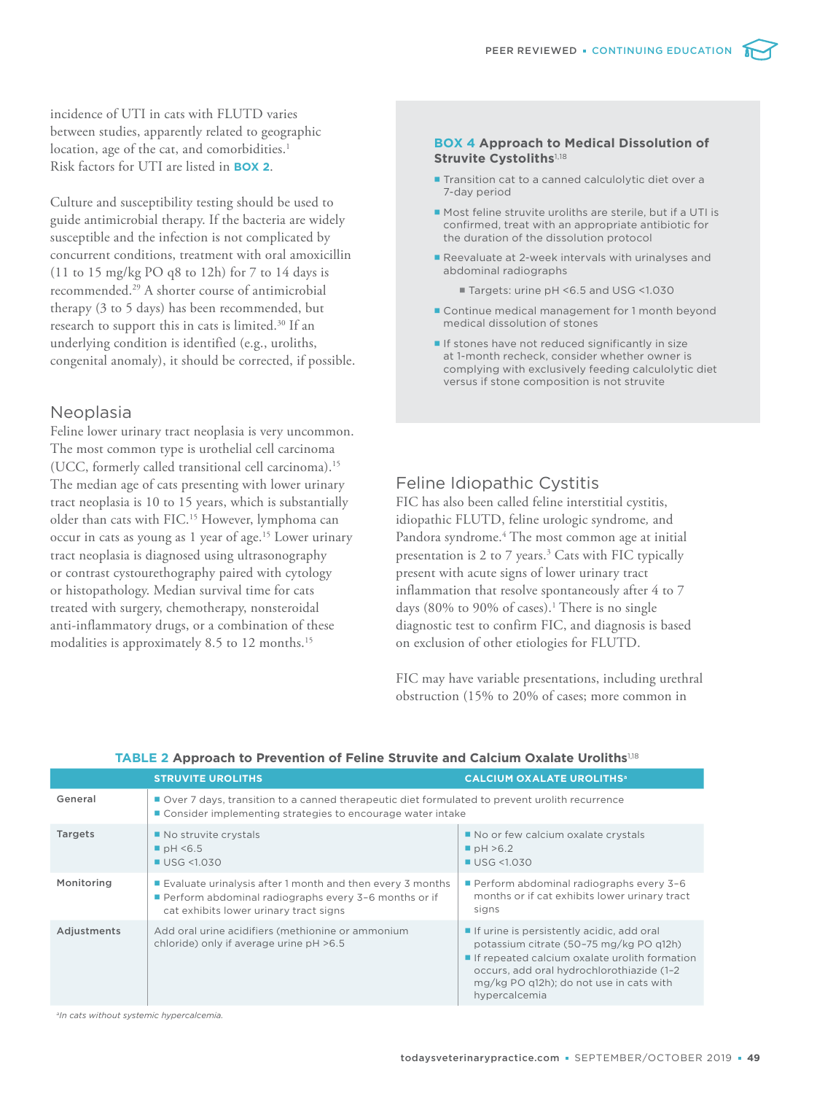incidence of UTI in cats with FLUTD varies between studies, apparently related to geographic location, age of the cat, and comorbidities.<sup>1</sup> Risk factors for UTI are listed in **BOX 2**.

Culture and susceptibility testing should be used to guide antimicrobial therapy. If the bacteria are widely susceptible and the infection is not complicated by concurrent conditions, treatment with oral amoxicillin (11 to 15 mg/kg PO q8 to 12h) for 7 to 14 days is recommended.<sup>29</sup> A shorter course of antimicrobial therapy (3 to 5 days) has been recommended, but research to support this in cats is limited.<sup>30</sup> If an underlying condition is identified (e.g., uroliths, congenital anomaly), it should be corrected, if possible.

## Neoplasia

Feline lower urinary tract neoplasia is very uncommon. The most common type is urothelial cell carcinoma (UCC, formerly called transitional cell carcinoma).<sup>15</sup> The median age of cats presenting with lower urinary tract neoplasia is 10 to 15 years, which is substantially older than cats with FIC.<sup>15</sup> However, lymphoma can occur in cats as young as 1 year of age.<sup>15</sup> Lower urinary tract neoplasia is diagnosed using ultrasonography or contrast cystourethography paired with cytology or histopathology. Median survival time for cats treated with surgery, chemotherapy, nonsteroidal anti-inflammatory drugs, or a combination of these modalities is approximately 8.5 to 12 months.<sup>15</sup>

#### **BOX 4 Approach to Medical Dissolution of Struvite Cystoliths**<sup>1,18</sup>

- **Transition cat to a canned calculolytic diet over a** 7-day period
- **Most feline struvite uroliths are sterile, but if a UTI is** confirmed, treat with an appropriate antibiotic for the duration of the dissolution protocol
- Reevaluate at 2-week intervals with urinalyses and abdominal radiographs
	- Targets: urine pH <6.5 and USG <1.030
- Continue medical management for 1 month beyond medical dissolution of stones
- **If stones have not reduced significantly in size** at 1-month recheck, consider whether owner is complying with exclusively feeding calculolytic diet versus if stone composition is not struvite

## Feline Idiopathic Cystitis

FIC has also been called feline interstitial cystitis, idiopathic FLUTD, feline urologic syndrome*,* and Pandora syndrome.<sup>4</sup> The most common age at initial presentation is 2 to 7 years.<sup>3</sup> Cats with FIC typically present with acute signs of lower urinary tract inflammation that resolve spontaneously after 4 to 7 days (80% to 90% of cases).<sup>1</sup> There is no single diagnostic test to confirm FIC, and diagnosis is based on exclusion of other etiologies for FLUTD.

FIC may have variable presentations, including urethral obstruction (15% to 20% of cases; more common in

|                | <b>STRUVITE UROLITHS</b>                                                                                                                                      | <b>CALCIUM OXALATE UROLITHS<sup>a</sup></b>                                                                                                                                                                                                    |  |
|----------------|---------------------------------------------------------------------------------------------------------------------------------------------------------------|------------------------------------------------------------------------------------------------------------------------------------------------------------------------------------------------------------------------------------------------|--|
| General        | Over 7 days, transition to a canned therapeutic diet formulated to prevent urolith recurrence<br>■ Consider implementing strategies to encourage water intake |                                                                                                                                                                                                                                                |  |
| <b>Targets</b> | No struvite crystals<br>$\blacksquare$ pH <6.5<br>$\blacksquare$ USG <1.030                                                                                   | No or few calcium oxalate crystals<br>$\blacksquare$ pH >6.2<br>$\blacksquare$ USG <1.030                                                                                                                                                      |  |
| Monitoring     | ■ Evaluate urinalysis after 1 month and then every 3 months<br>Perform abdominal radiographs every 3-6 months or if<br>cat exhibits lower urinary tract signs | Perform abdominal radiographs every 3-6<br>months or if cat exhibits lower urinary tract<br>signs                                                                                                                                              |  |
| Adjustments    | Add oral urine acidifiers (methionine or ammonium<br>chloride) only if average urine pH >6.5                                                                  | If urine is persistently acidic, add oral<br>potassium citrate (50-75 mg/kg PO g12h)<br>If repeated calcium oxalate urolith formation<br>occurs, add oral hydrochlorothiazide (1-2<br>mg/kg PO q12h); do not use in cats with<br>hypercalcemia |  |

#### **TABLE 2 Approach to Prevention of Feline Struvite and Calcium Oxalate Uroliths**1,18

*a In cats without systemic hypercalcemia.*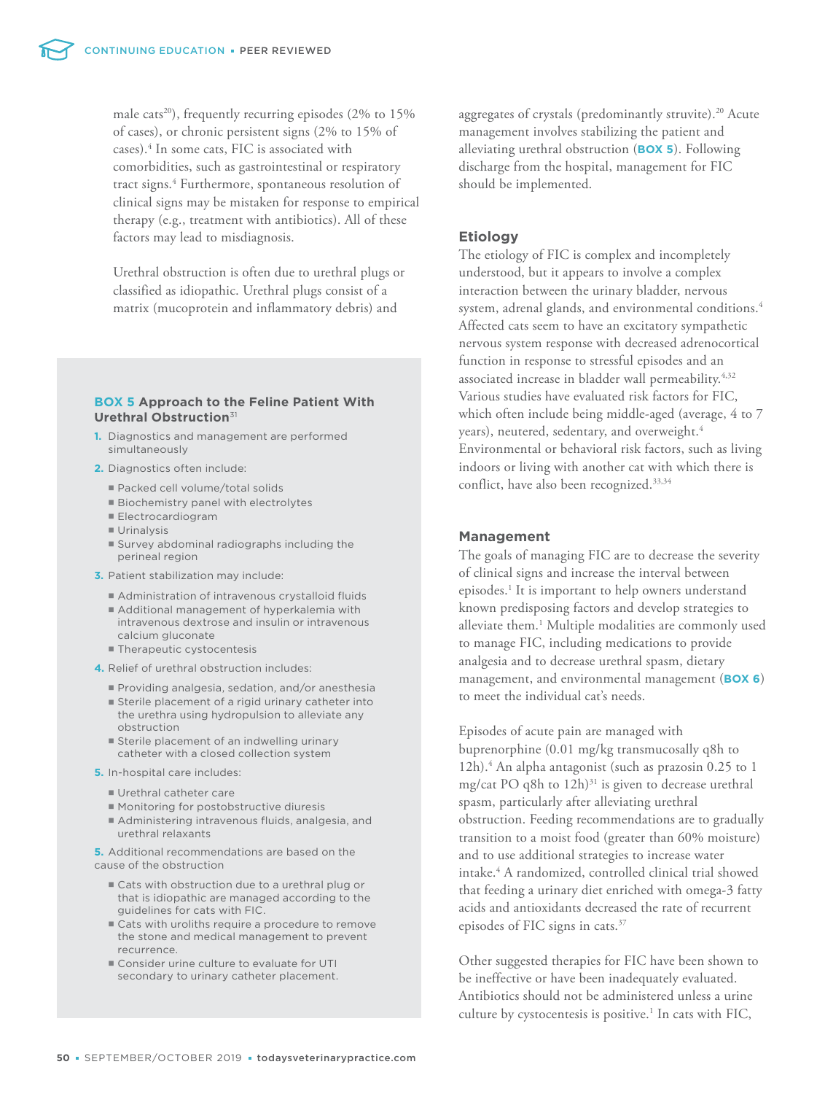male cats<sup>20</sup>), frequently recurring episodes  $(2\%$  to  $15\%$ of cases), or chronic persistent signs (2% to 15% of cases).<sup>4</sup> In some cats, FIC is associated with comorbidities, such as gastrointestinal or respiratory tract signs.<sup>4</sup> Furthermore, spontaneous resolution of clinical signs may be mistaken for response to empirical therapy (e.g., treatment with antibiotics). All of these factors may lead to misdiagnosis.

Urethral obstruction is often due to urethral plugs or classified as idiopathic. Urethral plugs consist of a matrix (mucoprotein and inflammatory debris) and

#### **BOX 5 Approach to the Feline Patient With Urethral Obstruction**<sup>31</sup>

- **1.** Diagnostics and management are performed simultaneously
- **2.** Diagnostics often include:
	- Packed cell volume/total solids
	- **Biochemistry panel with electrolytes**
	- Electrocardiogram
	- **Urinalysis**
	- Survey abdominal radiographs including the perineal region
- **3.** Patient stabilization may include:
	- Administration of intravenous crystalloid fluids
	- Additional management of hyperkalemia with intravenous dextrose and insulin or intravenous calcium gluconate
	- Therapeutic cystocentesis
- **4.** Relief of urethral obstruction includes:
	- Providing analgesia, sedation, and/or anesthesia
	- Sterile placement of a rigid urinary catheter into the urethra using hydropulsion to alleviate any obstruction
	- **Sterile placement of an indwelling urinary** catheter with a closed collection system
- **5.** In-hospital care includes:
	- Urethral catheter care
	- Monitoring for postobstructive diuresis
	- Administering intravenous fluids, analgesia, and urethral relaxants

**5.** Additional recommendations are based on the cause of the obstruction

- Cats with obstruction due to a urethral plug or that is idiopathic are managed according to the guidelines for cats with FIC.
- Cats with uroliths require a procedure to remove the stone and medical management to prevent recurrence.
- Consider urine culture to evaluate for UTI secondary to urinary catheter placement.

aggregates of crystals (predominantly struvite).<sup>20</sup> Acute management involves stabilizing the patient and alleviating urethral obstruction (**BOX 5**). Following discharge from the hospital, management for FIC should be implemented.

#### **Etiology**

The etiology of FIC is complex and incompletely understood, but it appears to involve a complex interaction between the urinary bladder, nervous system, adrenal glands, and environmental conditions.<sup>4</sup> Affected cats seem to have an excitatory sympathetic nervous system response with decreased adrenocortical function in response to stressful episodes and an associated increase in bladder wall permeability.<sup>4,32</sup> Various studies have evaluated risk factors for FIC, which often include being middle-aged (average, 4 to 7 years), neutered, sedentary, and overweight.<sup>4</sup> Environmental or behavioral risk factors, such as living indoors or living with another cat with which there is conflict, have also been recognized.33,34

#### **Management**

The goals of managing FIC are to decrease the severity of clinical signs and increase the interval between episodes.<sup>1</sup> It is important to help owners understand known predisposing factors and develop strategies to alleviate them.<sup>1</sup> Multiple modalities are commonly used to manage FIC, including medications to provide analgesia and to decrease urethral spasm, dietary management, and environmental management (**BOX 6**) to meet the individual cat's needs.

Episodes of acute pain are managed with buprenorphine (0.01 mg/kg transmucosally q8h to 12h).<sup>4</sup> An alpha antagonist (such as prazosin 0.25 to 1 mg/cat PO q8h to  $12h$ <sup>31</sup> is given to decrease urethral spasm, particularly after alleviating urethral obstruction. Feeding recommendations are to gradually transition to a moist food (greater than 60% moisture) and to use additional strategies to increase water intake.<sup>4</sup> A randomized, controlled clinical trial showed that feeding a urinary diet enriched with omega-3 fatty acids and antioxidants decreased the rate of recurrent episodes of FIC signs in cats.<sup>37</sup>

Other suggested therapies for FIC have been shown to be ineffective or have been inadequately evaluated. Antibiotics should not be administered unless a urine culture by cystocentesis is positive.<sup>1</sup> In cats with FIC,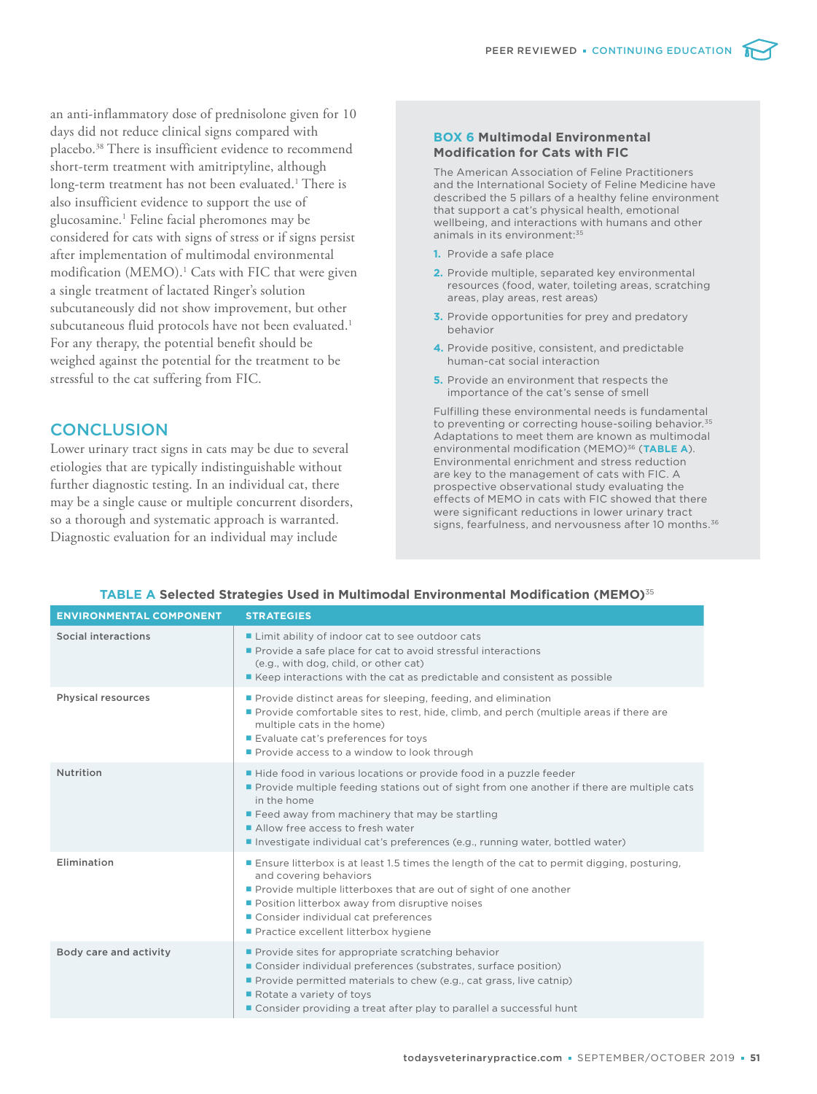an anti-inflammatory dose of prednisolone given for 10 days did not reduce clinical signs compared with placebo.<sup>38</sup> There is insufficient evidence to recommend short-term treatment with amitriptyline, although long-term treatment has not been evaluated.<sup>1</sup> There is also insufficient evidence to support the use of glucosamine.<sup>1</sup> Feline facial pheromones may be considered for cats with signs of stress or if signs persist after implementation of multimodal environmental modification (MEMO).<sup>1</sup> Cats with FIC that were given a single treatment of lactated Ringer's solution subcutaneously did not show improvement, but other subcutaneous fluid protocols have not been evaluated.<sup>1</sup> For any therapy, the potential benefit should be weighed against the potential for the treatment to be stressful to the cat suffering from FIC.

## **CONCLUSION**

Lower urinary tract signs in cats may be due to several etiologies that are typically indistinguishable without further diagnostic testing. In an individual cat, there may be a single cause or multiple concurrent disorders, so a thorough and systematic approach is warranted. Diagnostic evaluation for an individual may include

#### **BOX 6 Multimodal Environmental Modification for Cats with FIC**

The American Association of Feline Practitioners and the International Society of Feline Medicine have described the 5 pillars of a healthy feline environment that support a cat's physical health, emotional wellbeing, and interactions with humans and other animals in its environment:<sup>35</sup>

- **1.** Provide a safe place
- **2.** Provide multiple, separated key environmental resources (food, water, toileting areas, scratching areas, play areas, rest areas)
- **3.** Provide opportunities for prey and predatory behavior
- **4.** Provide positive, consistent, and predictable human-cat social interaction
- **5.** Provide an environment that respects the importance of the cat's sense of smell

Fulfilling these environmental needs is fundamental to preventing or correcting house-soiling behavior.<sup>35</sup> Adaptations to meet them are known as multimodal environmental modification (MEMO)36 (**TABLE A**). Environmental enrichment and stress reduction are key to the management of cats with FIC. A prospective observational study evaluating the effects of MEMO in cats with FIC showed that there were significant reductions in lower urinary tract signs, fearfulness, and nervousness after 10 months.<sup>36</sup>

| <b>ENVIRONMENTAL COMPONENT</b> | <b>STRATEGIES</b>                                                                                                                                                                                                                                                                                                                                         |
|--------------------------------|-----------------------------------------------------------------------------------------------------------------------------------------------------------------------------------------------------------------------------------------------------------------------------------------------------------------------------------------------------------|
| Social interactions            | ■ Limit ability of indoor cat to see outdoor cats<br>Provide a safe place for cat to avoid stressful interactions<br>(e.g., with dog, child, or other cat)<br>Example 2 Keep interactions with the cat as predictable and consistent as possible                                                                                                          |
| <b>Physical resources</b>      | Provide distinct areas for sleeping, feeding, and elimination<br>Provide comfortable sites to rest, hide, climb, and perch (multiple areas if there are<br>multiple cats in the home)<br>Evaluate cat's preferences for toys<br>Provide access to a window to look through                                                                                |
| Nutrition                      | ■ Hide food in various locations or provide food in a puzzle feeder<br>Provide multiple feeding stations out of sight from one another if there are multiple cats<br>in the home<br>■ Feed away from machinery that may be startling<br>Allow free access to fresh water<br>Investigate individual cat's preferences (e.g., running water, bottled water) |
| Elimination                    | <b>Ensure litterbox is at least 1.5 times the length of the cat to permit digging, posturing,</b><br>and covering behaviors<br>Provide multiple litterboxes that are out of sight of one another<br>Position litterbox away from disruptive noises<br>Consider individual cat preferences<br>Practice excellent litterbox hygiene                         |
| Body care and activity         | Provide sites for appropriate scratching behavior<br>Consider individual preferences (substrates, surface position)<br>Provide permitted materials to chew (e.g., cat grass, live catnip)<br>Rotate a variety of toys<br>■ Consider providing a treat after play to parallel a successful hunt                                                            |

#### **TABLE A Selected Strategies Used in Multimodal Environmental Modification (MEMO)**<sup>35</sup>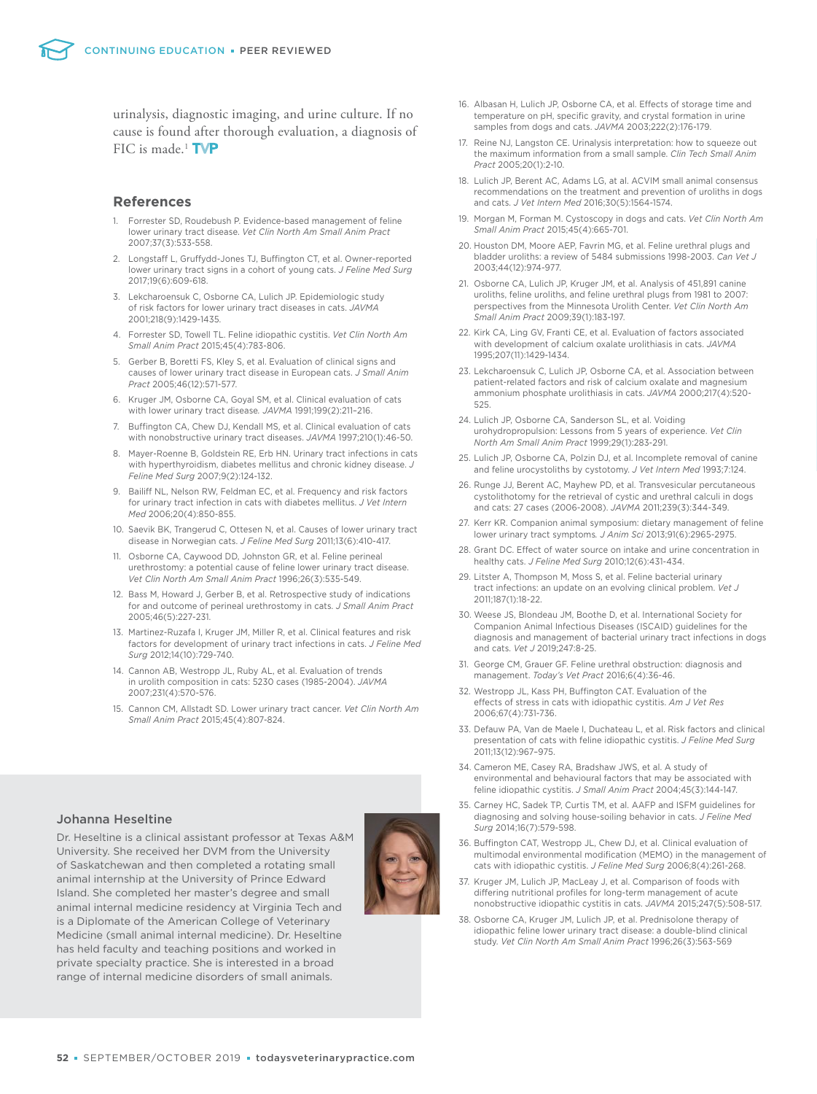urinalysis, diagnostic imaging, and urine culture. If no cause is found after thorough evaluation, a diagnosis of FIC is made.<sup>1</sup>  $TVP$ 

#### **References**

- 1. Forrester SD, Roudebush P. Evidence-based management of feline lower urinary tract disease. *Vet Clin North Am Small Anim Pract* 2007;37(3):533-558.
- 2. Longstaff L, Gruffydd-Jones TJ, Buffington CT, et al. Owner-reported lower urinary tract signs in a cohort of young cats. *J Feline Med Surg* 2017;19(6):609-618.
- 3. Lekcharoensuk C, Osborne CA, Lulich JP. Epidemiologic study of risk factors for lower urinary tract diseases in cats. *JAVMA*  2001;218(9):1429-1435.
- 4. Forrester SD, Towell TL. Feline idiopathic cystitis. *Vet Clin North Am Small Anim Pract* 2015;45(4):783-806.
- 5. Gerber B, Boretti FS, Kley S, et al. Evaluation of clinical signs and causes of lower urinary tract disease in European cats. *J Small Anim Pract* 2005;46(12):571-577.
- 6. Kruger JM, Osborne CA, Goyal SM, et al. Clinical evaluation of cats with lower urinary tract disease*. JAVMA* 1991;199(2):211–216.
- 7. Buffington CA, Chew DJ, Kendall MS, et al. Clinical evaluation of cats with nonobstructive urinary tract diseases. *JAVMA* 1997;210(1):46-50.
- 8. Mayer-Roenne B, Goldstein RE, Erb HN. Urinary tract infections in cats with hyperthyroidism, diabetes mellitus and chronic kidney disease. *J Feline Med Surg* 2007;9(2):124-132.
- 9. Bailiff NL, Nelson RW, Feldman EC, et al. Frequency and risk factors for urinary tract infection in cats with diabetes mellitus. *J Vet Intern Med* 2006;20(4):850-855.
- 10. Saevik BK, Trangerud C, Ottesen N, et al. Causes of lower urinary tract disease in Norwegian cats. *J Feline Med Surg* 2011;13(6):410-417.
- 11. Osborne CA, Caywood DD, Johnston GR, et al. Feline perineal urethrostomy: a potential cause of feline lower urinary tract disease. *Vet Clin North Am Small Anim Pract* 1996;26(3):535-549.
- 12. Bass M, Howard J, Gerber B, et al. Retrospective study of indications for and outcome of perineal urethrostomy in cats. *J Small Anim Pract*  2005;46(5):227-231.
- 13. Martinez-Ruzafa I, Kruger JM, Miller R, et al. Clinical features and risk factors for development of urinary tract infections in cats. *J Feline Med Surg* 2012;14(10):729-740.
- 14. Cannon AB, Westropp JL, Ruby AL, et al. Evaluation of trends in urolith composition in cats: 5230 cases (1985-2004). *JAVMA* 2007;231(4):570-576.
- 15. Cannon CM, Allstadt SD. Lower urinary tract cancer. *Vet Clin North Am Small Anim Pract* 2015;45(4):807-824.

#### Johanna Heseltine

Dr. Heseltine is a clinical assistant professor at Texas A&M University. She received her DVM from the University of Saskatchewan and then completed a rotating small animal internship at the University of Prince Edward Island. She completed her master's degree and small animal internal medicine residency at Virginia Tech and is a Diplomate of the American College of Veterinary Medicine (small animal internal medicine). Dr. Heseltine has held faculty and teaching positions and worked in private specialty practice. She is interested in a broad range of internal medicine disorders of small animals.



- 16. Albasan H, Lulich JP, Osborne CA, et al. Effects of storage time and temperature on pH, specific gravity, and crystal formation in urine samples from dogs and cats. *JAVMA* 2003;222(2):176-179.
- 17. Reine NJ, Langston CE. Urinalysis interpretation: how to squeeze out the maximum information from a small sample. *Clin Tech Small Anim Pract* 2005;20(1):2-10.
- 18. Lulich JP, Berent AC, Adams LG, at al. ACVIM small animal consensus recommendations on the treatment and prevention of uroliths in dogs and cats. *J Vet Intern Med* 2016;30(5):1564-1574.
- 19. Morgan M, Forman M. Cystoscopy in dogs and cats. *Vet Clin North Am Small Anim Pract* 2015;45(4):665-701.
- 20. Houston DM, Moore AEP, Favrin MG, et al. Feline urethral plugs and bladder uroliths: a review of 5484 submissions 1998-2003. *Can Vet J* 2003;44(12):974-977.
- 21. Osborne CA, Lulich JP, Kruger JM, et al. Analysis of 451,891 canine uroliths, feline uroliths, and feline urethral plugs from 1981 to 2007: perspectives from the Minnesota Urolith Center. *Vet Clin North Am Small Anim Pract* 2009;39(1):183-197.
- 22. Kirk CA, Ling GV, Franti CE, et al. Evaluation of factors associated with development of calcium oxalate urolithiasis in cats. *JAVMA* 1995;207(11):1429-1434.
- 23. Lekcharoensuk C, Lulich JP, Osborne CA, et al. Association between patient-related factors and risk of calcium oxalate and magnesium ammonium phosphate urolithiasis in cats. *JAVMA* 2000;217(4):520- 525.
- 24. Lulich JP, Osborne CA, Sanderson SL, et al. Voiding urohydropropulsion: Lessons from 5 years of experience. *Vet Clin North Am Small Anim Pract* 1999;29(1):283-291.
- 25. Lulich JP, Osborne CA, Polzin DJ, et al. Incomplete removal of canine and feline urocystoliths by cystotomy. *J Vet Intern Med* 1993;7:124.
- 26. Runge JJ, Berent AC, Mayhew PD, et al. Transvesicular percutaneous cystolithotomy for the retrieval of cystic and urethral calculi in dogs and cats: 27 cases (2006-2008). *JAVMA* 2011;239(3):344-349.
- 27. Kerr KR. Companion animal symposium: dietary management of feline lower urinary tract symptoms*. J Anim Sci* 2013;91(6):2965-2975.
- 28. Grant DC. Effect of water source on intake and urine concentration in healthy cats. *J Feline Med Surg* 2010;12(6):431-434.
- 29. Litster A, Thompson M, Moss S, et al. Feline bacterial urinary tract infections: an update on an evolving clinical problem. *Vet J* 2011;187(1):18-22.
- 30. Weese JS, Blondeau JM, Boothe D, et al. International Society for Companion Animal Infectious Diseases (ISCAID) guidelines for the diagnosis and management of bacterial urinary tract infections in dogs and cats. *Vet J* 2019;247:8-25.
- 31. George CM, Grauer GF. Feline urethral obstruction: diagnosis and management. *Today's Vet Pract* 2016;6(4):36-46.
- 32. Westropp JL, Kass PH, Buffington CAT. Evaluation of the effects of stress in cats with idiopathic cystitis. *Am J Vet Res* 2006;67(4):731-736.
- 33. Defauw PA, Van de Maele I, Duchateau L, et al. Risk factors and clinical presentation of cats with feline idiopathic cystitis. *J Feline Med Surg*  2011;13(12):967–975.
- 34. Cameron ME, Casey RA, Bradshaw JWS, et al. A study of environmental and behavioural factors that may be associated with feline idiopathic cystitis. *J Small Anim Pract* 2004;45(3):144-147.
- 35. Carney HC, Sadek TP, Curtis TM, et al. AAFP and ISFM guidelines for diagnosing and solving house-soiling behavior in cats. *J Feline Med Surg* 2014;16(7):579-598.
- 36. Buffington CAT, Westropp JL, Chew DJ, et al. Clinical evaluation of multimodal environmental modification (MEMO) in the management of cats with idiopathic cystitis. *J Feline Med Surg* 2006;8(4):261-268.
- 37. Kruger JM, Lulich JP, MacLeay J, et al. Comparison of foods with differing nutritional profiles for long-term management of acute nonobstructive idiopathic cystitis in cats. *JAVMA* 2015;247(5):508-517.
- 38. Osborne CA, Kruger JM, Lulich JP, et al. Prednisolone therapy of idiopathic feline lower urinary tract disease: a double-blind clinical study. *Vet Clin North Am Small Anim Pract* 1996;26(3):563-569